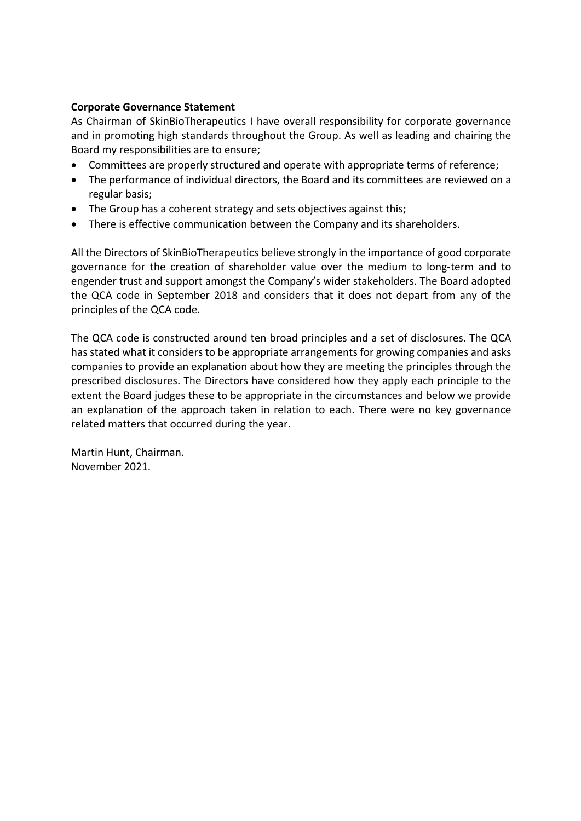## **Corporate Governance Statement**

As Chairman of SkinBioTherapeutics I have overall responsibility for corporate governance and in promoting high standards throughout the Group. As well as leading and chairing the Board my responsibilities are to ensure;

- Committees are properly structured and operate with appropriate terms of reference;
- The performance of individual directors, the Board and its committees are reviewed on a regular basis;
- The Group has a coherent strategy and sets objectives against this;
- There is effective communication between the Company and its shareholders.

All the Directors of SkinBioTherapeutics believe strongly in the importance of good corporate governance for the creation of shareholder value over the medium to long-term and to engender trust and support amongst the Company's wider stakeholders. The Board adopted the QCA code in September 2018 and considers that it does not depart from any of the principles of the QCA code.

The QCA code is constructed around ten broad principles and a set of disclosures. The QCA has stated what it considers to be appropriate arrangements for growing companies and asks companies to provide an explanation about how they are meeting the principles through the prescribed disclosures. The Directors have considered how they apply each principle to the extent the Board judges these to be appropriate in the circumstances and below we provide an explanation of the approach taken in relation to each. There were no key governance related matters that occurred during the year.

Martin Hunt, Chairman. November 2021.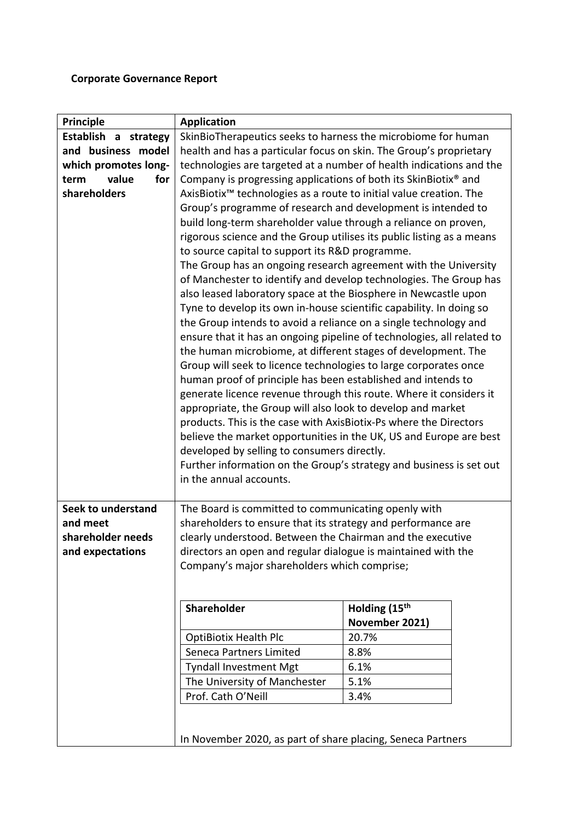## **Corporate Governance Report**

| <b>Principle</b>     | <b>Application</b>                                                                             |                                                                        |  |  |  |  |  |
|----------------------|------------------------------------------------------------------------------------------------|------------------------------------------------------------------------|--|--|--|--|--|
| Establish a strategy | SkinBioTherapeutics seeks to harness the microbiome for human                                  |                                                                        |  |  |  |  |  |
| and business model   | health and has a particular focus on skin. The Group's proprietary                             |                                                                        |  |  |  |  |  |
| which promotes long- | technologies are targeted at a number of health indications and the                            |                                                                        |  |  |  |  |  |
| value<br>for<br>term | Company is progressing applications of both its SkinBiotix <sup>®</sup> and                    |                                                                        |  |  |  |  |  |
| shareholders         | AxisBiotix <sup>™</sup> technologies as a route to initial value creation. The                 |                                                                        |  |  |  |  |  |
|                      | Group's programme of research and development is intended to                                   |                                                                        |  |  |  |  |  |
|                      |                                                                                                | build long-term shareholder value through a reliance on proven,        |  |  |  |  |  |
|                      | rigorous science and the Group utilises its public listing as a means                          |                                                                        |  |  |  |  |  |
|                      | to source capital to support its R&D programme.                                                |                                                                        |  |  |  |  |  |
|                      | The Group has an ongoing research agreement with the University                                |                                                                        |  |  |  |  |  |
|                      |                                                                                                | of Manchester to identify and develop technologies. The Group has      |  |  |  |  |  |
|                      | also leased laboratory space at the Biosphere in Newcastle upon                                |                                                                        |  |  |  |  |  |
|                      | Tyne to develop its own in-house scientific capability. In doing so                            |                                                                        |  |  |  |  |  |
|                      | the Group intends to avoid a reliance on a single technology and                               |                                                                        |  |  |  |  |  |
|                      |                                                                                                | ensure that it has an ongoing pipeline of technologies, all related to |  |  |  |  |  |
|                      | the human microbiome, at different stages of development. The                                  |                                                                        |  |  |  |  |  |
|                      | Group will seek to licence technologies to large corporates once                               |                                                                        |  |  |  |  |  |
|                      | human proof of principle has been established and intends to                                   |                                                                        |  |  |  |  |  |
|                      | generate licence revenue through this route. Where it considers it                             |                                                                        |  |  |  |  |  |
|                      |                                                                                                |                                                                        |  |  |  |  |  |
|                      | appropriate, the Group will also look to develop and market                                    |                                                                        |  |  |  |  |  |
|                      | products. This is the case with AxisBiotix-Ps where the Directors                              |                                                                        |  |  |  |  |  |
|                      | believe the market opportunities in the UK, US and Europe are best                             |                                                                        |  |  |  |  |  |
|                      | developed by selling to consumers directly.                                                    |                                                                        |  |  |  |  |  |
|                      | Further information on the Group's strategy and business is set out<br>in the annual accounts. |                                                                        |  |  |  |  |  |
|                      |                                                                                                |                                                                        |  |  |  |  |  |
| Seek to understand   | The Board is committed to communicating openly with                                            |                                                                        |  |  |  |  |  |
| and meet             | shareholders to ensure that its strategy and performance are                                   |                                                                        |  |  |  |  |  |
| shareholder needs    | clearly understood. Between the Chairman and the executive                                     |                                                                        |  |  |  |  |  |
| and expectations     | directors an open and regular dialogue is maintained with the                                  |                                                                        |  |  |  |  |  |
|                      |                                                                                                |                                                                        |  |  |  |  |  |
|                      | Company's major shareholders which comprise;                                                   |                                                                        |  |  |  |  |  |
|                      |                                                                                                |                                                                        |  |  |  |  |  |
|                      | Shareholder                                                                                    | Holding (15th                                                          |  |  |  |  |  |
|                      |                                                                                                | November 2021)                                                         |  |  |  |  |  |
|                      | <b>OptiBiotix Health Plc</b>                                                                   | 20.7%                                                                  |  |  |  |  |  |
|                      | Seneca Partners Limited                                                                        | 8.8%                                                                   |  |  |  |  |  |
|                      | <b>Tyndall Investment Mgt</b>                                                                  | 6.1%                                                                   |  |  |  |  |  |
|                      | The University of Manchester                                                                   | 5.1%                                                                   |  |  |  |  |  |
|                      | Prof. Cath O'Neill<br>3.4%                                                                     |                                                                        |  |  |  |  |  |
|                      |                                                                                                |                                                                        |  |  |  |  |  |
|                      |                                                                                                |                                                                        |  |  |  |  |  |
|                      | In November 2020, as part of share placing, Seneca Partners                                    |                                                                        |  |  |  |  |  |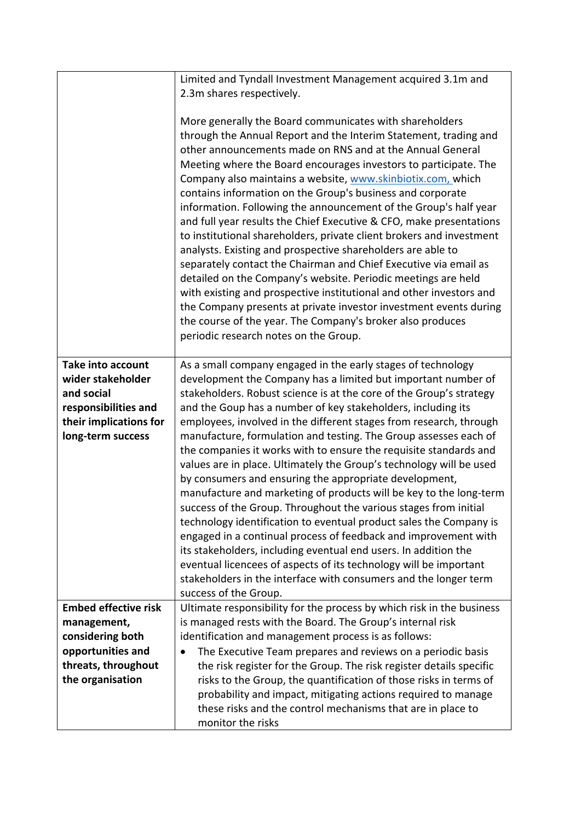|                                          | Limited and Tyndall Investment Management acquired 3.1m and<br>2.3m shares respectively.                                                 |  |  |  |  |
|------------------------------------------|------------------------------------------------------------------------------------------------------------------------------------------|--|--|--|--|
|                                          |                                                                                                                                          |  |  |  |  |
|                                          | More generally the Board communicates with shareholders                                                                                  |  |  |  |  |
|                                          | through the Annual Report and the Interim Statement, trading and                                                                         |  |  |  |  |
|                                          | other announcements made on RNS and at the Annual General                                                                                |  |  |  |  |
|                                          | Meeting where the Board encourages investors to participate. The                                                                         |  |  |  |  |
|                                          | Company also maintains a website, www.skinbiotix.com, which                                                                              |  |  |  |  |
|                                          | contains information on the Group's business and corporate                                                                               |  |  |  |  |
|                                          | information. Following the announcement of the Group's half year                                                                         |  |  |  |  |
|                                          | and full year results the Chief Executive & CFO, make presentations                                                                      |  |  |  |  |
|                                          | to institutional shareholders, private client brokers and investment                                                                     |  |  |  |  |
|                                          | analysts. Existing and prospective shareholders are able to                                                                              |  |  |  |  |
|                                          | separately contact the Chairman and Chief Executive via email as                                                                         |  |  |  |  |
|                                          | detailed on the Company's website. Periodic meetings are held<br>with existing and prospective institutional and other investors and     |  |  |  |  |
|                                          | the Company presents at private investor investment events during                                                                        |  |  |  |  |
|                                          | the course of the year. The Company's broker also produces                                                                               |  |  |  |  |
|                                          | periodic research notes on the Group.                                                                                                    |  |  |  |  |
|                                          |                                                                                                                                          |  |  |  |  |
| <b>Take into account</b>                 | As a small company engaged in the early stages of technology                                                                             |  |  |  |  |
| wider stakeholder                        | development the Company has a limited but important number of                                                                            |  |  |  |  |
| and social                               | stakeholders. Robust science is at the core of the Group's strategy                                                                      |  |  |  |  |
| responsibilities and                     | and the Goup has a number of key stakeholders, including its                                                                             |  |  |  |  |
| their implications for                   | employees, involved in the different stages from research, through                                                                       |  |  |  |  |
| long-term success                        | manufacture, formulation and testing. The Group assesses each of<br>the companies it works with to ensure the requisite standards and    |  |  |  |  |
|                                          | values are in place. Ultimately the Group's technology will be used                                                                      |  |  |  |  |
|                                          | by consumers and ensuring the appropriate development,                                                                                   |  |  |  |  |
|                                          | manufacture and marketing of products will be key to the long-term                                                                       |  |  |  |  |
|                                          | success of the Group. Throughout the various stages from initial                                                                         |  |  |  |  |
|                                          | technology identification to eventual product sales the Company is                                                                       |  |  |  |  |
|                                          | engaged in a continual process of feedback and improvement with                                                                          |  |  |  |  |
|                                          | its stakeholders, including eventual end users. In addition the                                                                          |  |  |  |  |
|                                          | eventual licencees of aspects of its technology will be important                                                                        |  |  |  |  |
|                                          | stakeholders in the interface with consumers and the longer term                                                                         |  |  |  |  |
|                                          | success of the Group.                                                                                                                    |  |  |  |  |
| <b>Embed effective risk</b>              | Ultimate responsibility for the process by which risk in the business                                                                    |  |  |  |  |
| management,                              | is managed rests with the Board. The Group's internal risk                                                                               |  |  |  |  |
| considering both                         | identification and management process is as follows:                                                                                     |  |  |  |  |
| opportunities and<br>threats, throughout | The Executive Team prepares and reviews on a periodic basis<br>$\bullet$                                                                 |  |  |  |  |
| the organisation                         | the risk register for the Group. The risk register details specific<br>risks to the Group, the quantification of those risks in terms of |  |  |  |  |
|                                          | probability and impact, mitigating actions required to manage                                                                            |  |  |  |  |
|                                          | these risks and the control mechanisms that are in place to                                                                              |  |  |  |  |
|                                          | monitor the risks                                                                                                                        |  |  |  |  |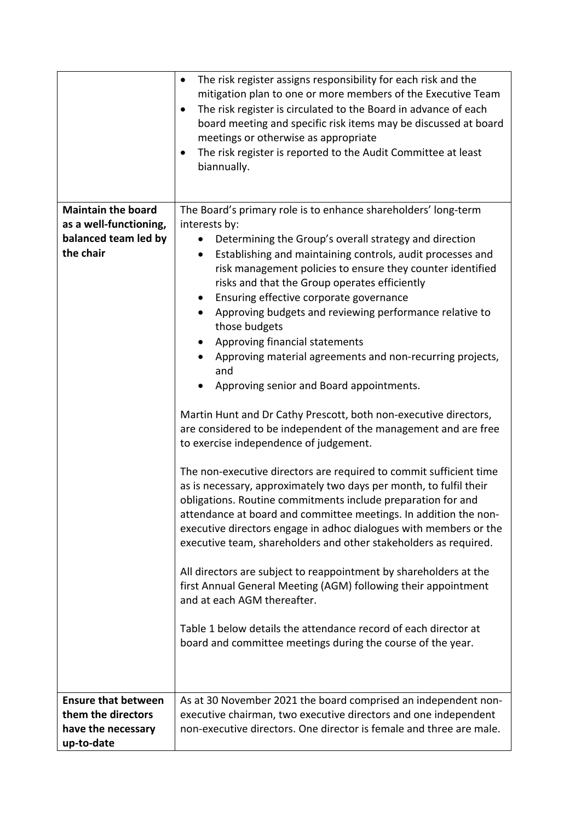|                            | The risk register assigns responsibility for each risk and the<br>mitigation plan to one or more members of the Executive Team<br>The risk register is circulated to the Board in advance of each<br>٠<br>board meeting and specific risk items may be discussed at board<br>meetings or otherwise as appropriate<br>The risk register is reported to the Audit Committee at least<br>٠<br>biannually.                                                                                                                                                                                                 |  |  |  |  |  |
|----------------------------|--------------------------------------------------------------------------------------------------------------------------------------------------------------------------------------------------------------------------------------------------------------------------------------------------------------------------------------------------------------------------------------------------------------------------------------------------------------------------------------------------------------------------------------------------------------------------------------------------------|--|--|--|--|--|
| <b>Maintain the board</b>  | The Board's primary role is to enhance shareholders' long-term                                                                                                                                                                                                                                                                                                                                                                                                                                                                                                                                         |  |  |  |  |  |
| as a well-functioning,     | interests by:                                                                                                                                                                                                                                                                                                                                                                                                                                                                                                                                                                                          |  |  |  |  |  |
| balanced team led by       | Determining the Group's overall strategy and direction                                                                                                                                                                                                                                                                                                                                                                                                                                                                                                                                                 |  |  |  |  |  |
| the chair                  | Establishing and maintaining controls, audit processes and<br>$\bullet$                                                                                                                                                                                                                                                                                                                                                                                                                                                                                                                                |  |  |  |  |  |
|                            | risk management policies to ensure they counter identified                                                                                                                                                                                                                                                                                                                                                                                                                                                                                                                                             |  |  |  |  |  |
|                            | risks and that the Group operates efficiently                                                                                                                                                                                                                                                                                                                                                                                                                                                                                                                                                          |  |  |  |  |  |
|                            | Ensuring effective corporate governance<br>$\bullet$                                                                                                                                                                                                                                                                                                                                                                                                                                                                                                                                                   |  |  |  |  |  |
|                            | Approving budgets and reviewing performance relative to<br>those budgets                                                                                                                                                                                                                                                                                                                                                                                                                                                                                                                               |  |  |  |  |  |
|                            | Approving financial statements                                                                                                                                                                                                                                                                                                                                                                                                                                                                                                                                                                         |  |  |  |  |  |
|                            | Approving material agreements and non-recurring projects,                                                                                                                                                                                                                                                                                                                                                                                                                                                                                                                                              |  |  |  |  |  |
|                            | and                                                                                                                                                                                                                                                                                                                                                                                                                                                                                                                                                                                                    |  |  |  |  |  |
|                            | Approving senior and Board appointments.                                                                                                                                                                                                                                                                                                                                                                                                                                                                                                                                                               |  |  |  |  |  |
|                            | Martin Hunt and Dr Cathy Prescott, both non-executive directors,<br>are considered to be independent of the management and are free<br>to exercise independence of judgement.<br>The non-executive directors are required to commit sufficient time<br>as is necessary, approximately two days per month, to fulfil their<br>obligations. Routine commitments include preparation for and<br>attendance at board and committee meetings. In addition the non-<br>executive directors engage in adhoc dialogues with members or the<br>executive team, shareholders and other stakeholders as required. |  |  |  |  |  |
|                            |                                                                                                                                                                                                                                                                                                                                                                                                                                                                                                                                                                                                        |  |  |  |  |  |
|                            | All directors are subject to reappointment by shareholders at the<br>first Annual General Meeting (AGM) following their appointment<br>and at each AGM thereafter.                                                                                                                                                                                                                                                                                                                                                                                                                                     |  |  |  |  |  |
|                            | Table 1 below details the attendance record of each director at<br>board and committee meetings during the course of the year.                                                                                                                                                                                                                                                                                                                                                                                                                                                                         |  |  |  |  |  |
| <b>Ensure that between</b> | As at 30 November 2021 the board comprised an independent non-                                                                                                                                                                                                                                                                                                                                                                                                                                                                                                                                         |  |  |  |  |  |
| them the directors         | executive chairman, two executive directors and one independent                                                                                                                                                                                                                                                                                                                                                                                                                                                                                                                                        |  |  |  |  |  |
| have the necessary         | non-executive directors. One director is female and three are male.                                                                                                                                                                                                                                                                                                                                                                                                                                                                                                                                    |  |  |  |  |  |
| up-to-date                 |                                                                                                                                                                                                                                                                                                                                                                                                                                                                                                                                                                                                        |  |  |  |  |  |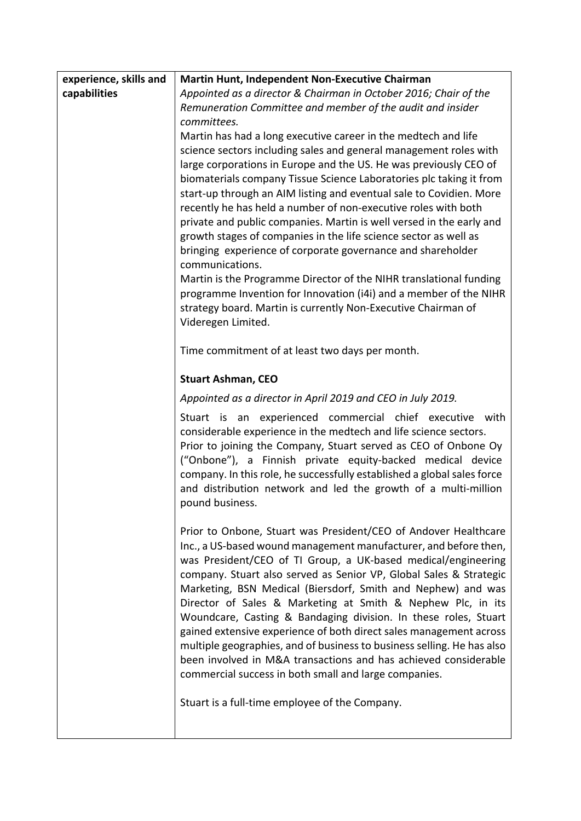| experience, skills and | <b>Martin Hunt, Independent Non-Executive Chairman</b>                                                                                                                                                                                                                                                                                                                                                                                                                                                                                                                                                                                                                                                                                                   |  |  |  |  |
|------------------------|----------------------------------------------------------------------------------------------------------------------------------------------------------------------------------------------------------------------------------------------------------------------------------------------------------------------------------------------------------------------------------------------------------------------------------------------------------------------------------------------------------------------------------------------------------------------------------------------------------------------------------------------------------------------------------------------------------------------------------------------------------|--|--|--|--|
| capabilities           | Appointed as a director & Chairman in October 2016; Chair of the                                                                                                                                                                                                                                                                                                                                                                                                                                                                                                                                                                                                                                                                                         |  |  |  |  |
|                        | Remuneration Committee and member of the audit and insider                                                                                                                                                                                                                                                                                                                                                                                                                                                                                                                                                                                                                                                                                               |  |  |  |  |
|                        | committees.                                                                                                                                                                                                                                                                                                                                                                                                                                                                                                                                                                                                                                                                                                                                              |  |  |  |  |
|                        | Martin has had a long executive career in the medtech and life                                                                                                                                                                                                                                                                                                                                                                                                                                                                                                                                                                                                                                                                                           |  |  |  |  |
|                        | science sectors including sales and general management roles with                                                                                                                                                                                                                                                                                                                                                                                                                                                                                                                                                                                                                                                                                        |  |  |  |  |
|                        | large corporations in Europe and the US. He was previously CEO of<br>biomaterials company Tissue Science Laboratories plc taking it from                                                                                                                                                                                                                                                                                                                                                                                                                                                                                                                                                                                                                 |  |  |  |  |
|                        | start-up through an AIM listing and eventual sale to Covidien. More                                                                                                                                                                                                                                                                                                                                                                                                                                                                                                                                                                                                                                                                                      |  |  |  |  |
|                        | recently he has held a number of non-executive roles with both                                                                                                                                                                                                                                                                                                                                                                                                                                                                                                                                                                                                                                                                                           |  |  |  |  |
|                        | private and public companies. Martin is well versed in the early and                                                                                                                                                                                                                                                                                                                                                                                                                                                                                                                                                                                                                                                                                     |  |  |  |  |
|                        | growth stages of companies in the life science sector as well as                                                                                                                                                                                                                                                                                                                                                                                                                                                                                                                                                                                                                                                                                         |  |  |  |  |
|                        | bringing experience of corporate governance and shareholder<br>communications.                                                                                                                                                                                                                                                                                                                                                                                                                                                                                                                                                                                                                                                                           |  |  |  |  |
|                        | Martin is the Programme Director of the NIHR translational funding                                                                                                                                                                                                                                                                                                                                                                                                                                                                                                                                                                                                                                                                                       |  |  |  |  |
|                        | programme Invention for Innovation (i4i) and a member of the NIHR                                                                                                                                                                                                                                                                                                                                                                                                                                                                                                                                                                                                                                                                                        |  |  |  |  |
|                        | strategy board. Martin is currently Non-Executive Chairman of                                                                                                                                                                                                                                                                                                                                                                                                                                                                                                                                                                                                                                                                                            |  |  |  |  |
|                        | Videregen Limited.                                                                                                                                                                                                                                                                                                                                                                                                                                                                                                                                                                                                                                                                                                                                       |  |  |  |  |
|                        | Time commitment of at least two days per month.                                                                                                                                                                                                                                                                                                                                                                                                                                                                                                                                                                                                                                                                                                          |  |  |  |  |
|                        | <b>Stuart Ashman, CEO</b>                                                                                                                                                                                                                                                                                                                                                                                                                                                                                                                                                                                                                                                                                                                                |  |  |  |  |
|                        | Appointed as a director in April 2019 and CEO in July 2019.                                                                                                                                                                                                                                                                                                                                                                                                                                                                                                                                                                                                                                                                                              |  |  |  |  |
|                        | Stuart is an experienced commercial chief executive<br>with<br>considerable experience in the medtech and life science sectors.<br>Prior to joining the Company, Stuart served as CEO of Onbone Oy<br>("Onbone"), a Finnish private equity-backed medical device<br>company. In this role, he successfully established a global sales force<br>and distribution network and led the growth of a multi-million<br>pound business.                                                                                                                                                                                                                                                                                                                         |  |  |  |  |
|                        | Prior to Onbone, Stuart was President/CEO of Andover Healthcare<br>Inc., a US-based wound management manufacturer, and before then,<br>was President/CEO of TI Group, a UK-based medical/engineering<br>company. Stuart also served as Senior VP, Global Sales & Strategic<br>Marketing, BSN Medical (Biersdorf, Smith and Nephew) and was<br>Director of Sales & Marketing at Smith & Nephew Plc, in its<br>Woundcare, Casting & Bandaging division. In these roles, Stuart<br>gained extensive experience of both direct sales management across<br>multiple geographies, and of business to business selling. He has also<br>been involved in M&A transactions and has achieved considerable<br>commercial success in both small and large companies. |  |  |  |  |
|                        | Stuart is a full-time employee of the Company.                                                                                                                                                                                                                                                                                                                                                                                                                                                                                                                                                                                                                                                                                                           |  |  |  |  |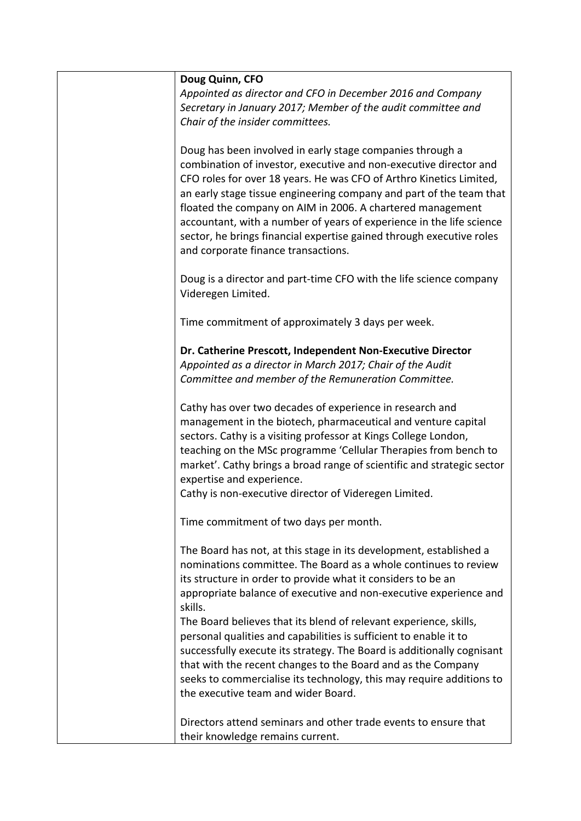| Doug Quinn, CFO<br>Appointed as director and CFO in December 2016 and Company<br>Secretary in January 2017; Member of the audit committee and<br>Chair of the insider committees.                                                                                                                                                                                                                                                                                                                                                 |
|-----------------------------------------------------------------------------------------------------------------------------------------------------------------------------------------------------------------------------------------------------------------------------------------------------------------------------------------------------------------------------------------------------------------------------------------------------------------------------------------------------------------------------------|
| Doug has been involved in early stage companies through a<br>combination of investor, executive and non-executive director and<br>CFO roles for over 18 years. He was CFO of Arthro Kinetics Limited,<br>an early stage tissue engineering company and part of the team that<br>floated the company on AIM in 2006. A chartered management<br>accountant, with a number of years of experience in the life science<br>sector, he brings financial expertise gained through executive roles<br>and corporate finance transactions. |
| Doug is a director and part-time CFO with the life science company<br>Videregen Limited.                                                                                                                                                                                                                                                                                                                                                                                                                                          |
| Time commitment of approximately 3 days per week.                                                                                                                                                                                                                                                                                                                                                                                                                                                                                 |
| Dr. Catherine Prescott, Independent Non-Executive Director<br>Appointed as a director in March 2017; Chair of the Audit<br>Committee and member of the Remuneration Committee.                                                                                                                                                                                                                                                                                                                                                    |
| Cathy has over two decades of experience in research and<br>management in the biotech, pharmaceutical and venture capital<br>sectors. Cathy is a visiting professor at Kings College London,<br>teaching on the MSc programme 'Cellular Therapies from bench to<br>market'. Cathy brings a broad range of scientific and strategic sector<br>expertise and experience.<br>Cathy is non-executive director of Videregen Limited.                                                                                                   |
| Time commitment of two days per month.                                                                                                                                                                                                                                                                                                                                                                                                                                                                                            |
| The Board has not, at this stage in its development, established a<br>nominations committee. The Board as a whole continues to review<br>its structure in order to provide what it considers to be an<br>appropriate balance of executive and non-executive experience and<br>skills.<br>The Board believes that its blend of relevant experience, skills,<br>personal qualities and capabilities is sufficient to enable it to                                                                                                   |
| successfully execute its strategy. The Board is additionally cognisant<br>that with the recent changes to the Board and as the Company<br>seeks to commercialise its technology, this may require additions to<br>the executive team and wider Board.                                                                                                                                                                                                                                                                             |
| Directors attend seminars and other trade events to ensure that<br>their knowledge remains current.                                                                                                                                                                                                                                                                                                                                                                                                                               |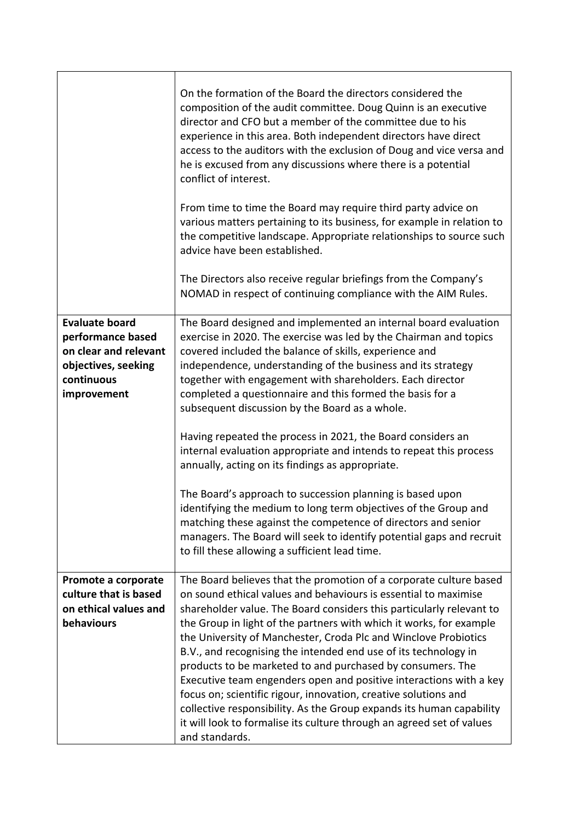|                                                                                                                         | On the formation of the Board the directors considered the<br>composition of the audit committee. Doug Quinn is an executive<br>director and CFO but a member of the committee due to his<br>experience in this area. Both independent directors have direct<br>access to the auditors with the exclusion of Doug and vice versa and<br>he is excused from any discussions where there is a potential<br>conflict of interest.<br>From time to time the Board may require third party advice on<br>various matters pertaining to its business, for example in relation to<br>the competitive landscape. Appropriate relationships to source such<br>advice have been established.<br>The Directors also receive regular briefings from the Company's<br>NOMAD in respect of continuing compliance with the AIM Rules.                                                                                                                                          |
|-------------------------------------------------------------------------------------------------------------------------|----------------------------------------------------------------------------------------------------------------------------------------------------------------------------------------------------------------------------------------------------------------------------------------------------------------------------------------------------------------------------------------------------------------------------------------------------------------------------------------------------------------------------------------------------------------------------------------------------------------------------------------------------------------------------------------------------------------------------------------------------------------------------------------------------------------------------------------------------------------------------------------------------------------------------------------------------------------|
| <b>Evaluate board</b><br>performance based<br>on clear and relevant<br>objectives, seeking<br>continuous<br>improvement | The Board designed and implemented an internal board evaluation<br>exercise in 2020. The exercise was led by the Chairman and topics<br>covered included the balance of skills, experience and<br>independence, understanding of the business and its strategy<br>together with engagement with shareholders. Each director<br>completed a questionnaire and this formed the basis for a<br>subsequent discussion by the Board as a whole.<br>Having repeated the process in 2021, the Board considers an<br>internal evaluation appropriate and intends to repeat this process<br>annually, acting on its findings as appropriate.<br>The Board's approach to succession planning is based upon<br>identifying the medium to long term objectives of the Group and<br>matching these against the competence of directors and senior<br>managers. The Board will seek to identify potential gaps and recruit<br>to fill these allowing a sufficient lead time. |
| Promote a corporate<br>culture that is based<br>on ethical values and<br>behaviours                                     | The Board believes that the promotion of a corporate culture based<br>on sound ethical values and behaviours is essential to maximise<br>shareholder value. The Board considers this particularly relevant to<br>the Group in light of the partners with which it works, for example<br>the University of Manchester, Croda Plc and Winclove Probiotics<br>B.V., and recognising the intended end use of its technology in<br>products to be marketed to and purchased by consumers. The<br>Executive team engenders open and positive interactions with a key<br>focus on; scientific rigour, innovation, creative solutions and<br>collective responsibility. As the Group expands its human capability<br>it will look to formalise its culture through an agreed set of values<br>and standards.                                                                                                                                                           |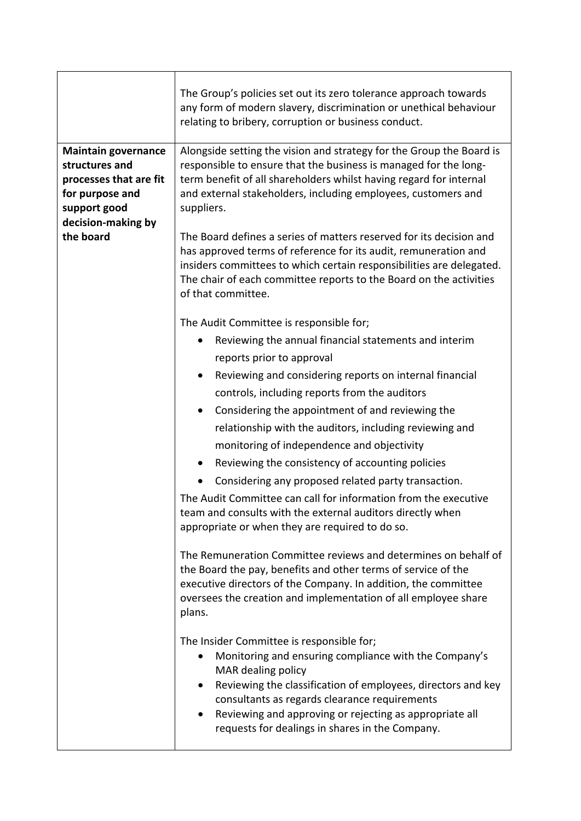|                                                                                                                                              | The Group's policies set out its zero tolerance approach towards<br>any form of modern slavery, discrimination or unethical behaviour<br>relating to bribery, corruption or business conduct.                                                                                                              |  |  |  |  |
|----------------------------------------------------------------------------------------------------------------------------------------------|------------------------------------------------------------------------------------------------------------------------------------------------------------------------------------------------------------------------------------------------------------------------------------------------------------|--|--|--|--|
| <b>Maintain governance</b><br>structures and<br>processes that are fit<br>for purpose and<br>support good<br>decision-making by<br>the board | Alongside setting the vision and strategy for the Group the Board is<br>responsible to ensure that the business is managed for the long-<br>term benefit of all shareholders whilst having regard for internal<br>and external stakeholders, including employees, customers and<br>suppliers.              |  |  |  |  |
|                                                                                                                                              | The Board defines a series of matters reserved for its decision and<br>has approved terms of reference for its audit, remuneration and<br>insiders committees to which certain responsibilities are delegated.<br>The chair of each committee reports to the Board on the activities<br>of that committee. |  |  |  |  |
|                                                                                                                                              | The Audit Committee is responsible for;                                                                                                                                                                                                                                                                    |  |  |  |  |
|                                                                                                                                              | Reviewing the annual financial statements and interim                                                                                                                                                                                                                                                      |  |  |  |  |
|                                                                                                                                              | reports prior to approval                                                                                                                                                                                                                                                                                  |  |  |  |  |
|                                                                                                                                              | Reviewing and considering reports on internal financial<br>$\bullet$                                                                                                                                                                                                                                       |  |  |  |  |
|                                                                                                                                              | controls, including reports from the auditors                                                                                                                                                                                                                                                              |  |  |  |  |
|                                                                                                                                              | Considering the appointment of and reviewing the<br>$\bullet$                                                                                                                                                                                                                                              |  |  |  |  |
|                                                                                                                                              | relationship with the auditors, including reviewing and                                                                                                                                                                                                                                                    |  |  |  |  |
|                                                                                                                                              | monitoring of independence and objectivity                                                                                                                                                                                                                                                                 |  |  |  |  |
|                                                                                                                                              | Reviewing the consistency of accounting policies                                                                                                                                                                                                                                                           |  |  |  |  |
|                                                                                                                                              | Considering any proposed related party transaction.                                                                                                                                                                                                                                                        |  |  |  |  |
|                                                                                                                                              | The Audit Committee can call for information from the executive<br>team and consults with the external auditors directly when<br>appropriate or when they are required to do so.                                                                                                                           |  |  |  |  |
|                                                                                                                                              | The Remuneration Committee reviews and determines on behalf of<br>the Board the pay, benefits and other terms of service of the<br>executive directors of the Company. In addition, the committee<br>oversees the creation and implementation of all employee share<br>plans.                              |  |  |  |  |
|                                                                                                                                              | The Insider Committee is responsible for;<br>Monitoring and ensuring compliance with the Company's<br>MAR dealing policy<br>Reviewing the classification of employees, directors and key<br>$\bullet$<br>consultants as regards clearance requirements                                                     |  |  |  |  |
|                                                                                                                                              | Reviewing and approving or rejecting as appropriate all<br>٠<br>requests for dealings in shares in the Company.                                                                                                                                                                                            |  |  |  |  |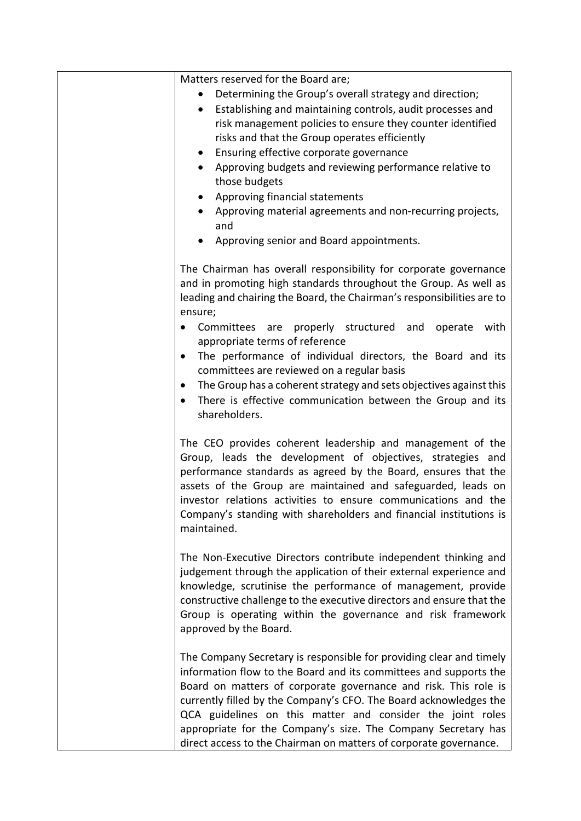| Matters reserved for the Board are;<br>Determining the Group's overall strategy and direction;<br>Establishing and maintaining controls, audit processes and<br>$\bullet$<br>risk management policies to ensure they counter identified<br>risks and that the Group operates efficiently<br>Ensuring effective corporate governance<br>$\bullet$<br>Approving budgets and reviewing performance relative to<br>$\bullet$<br>those budgets<br>Approving financial statements<br>$\bullet$<br>Approving material agreements and non-recurring projects,<br>and<br>Approving senior and Board appointments.      |
|---------------------------------------------------------------------------------------------------------------------------------------------------------------------------------------------------------------------------------------------------------------------------------------------------------------------------------------------------------------------------------------------------------------------------------------------------------------------------------------------------------------------------------------------------------------------------------------------------------------|
| The Chairman has overall responsibility for corporate governance<br>and in promoting high standards throughout the Group. As well as<br>leading and chairing the Board, the Chairman's responsibilities are to<br>ensure;<br>Committees are properly structured and operate with<br>appropriate terms of reference<br>The performance of individual directors, the Board and its<br>$\bullet$<br>committees are reviewed on a regular basis<br>The Group has a coherent strategy and sets objectives against this<br>$\bullet$<br>There is effective communication between the Group and its<br>shareholders. |
| The CEO provides coherent leadership and management of the<br>Group, leads the development of objectives, strategies and<br>performance standards as agreed by the Board, ensures that the<br>assets of the Group are maintained and safeguarded, leads on<br>investor relations activities to ensure communications and the<br>Company's standing with shareholders and financial institutions is<br>maintained.                                                                                                                                                                                             |
| The Non-Executive Directors contribute independent thinking and<br>judgement through the application of their external experience and<br>knowledge, scrutinise the performance of management, provide<br>constructive challenge to the executive directors and ensure that the<br>Group is operating within the governance and risk framework<br>approved by the Board.                                                                                                                                                                                                                                       |
| The Company Secretary is responsible for providing clear and timely<br>information flow to the Board and its committees and supports the<br>Board on matters of corporate governance and risk. This role is<br>currently filled by the Company's CFO. The Board acknowledges the<br>QCA guidelines on this matter and consider the joint roles<br>appropriate for the Company's size. The Company Secretary has<br>direct access to the Chairman on matters of corporate governance.                                                                                                                          |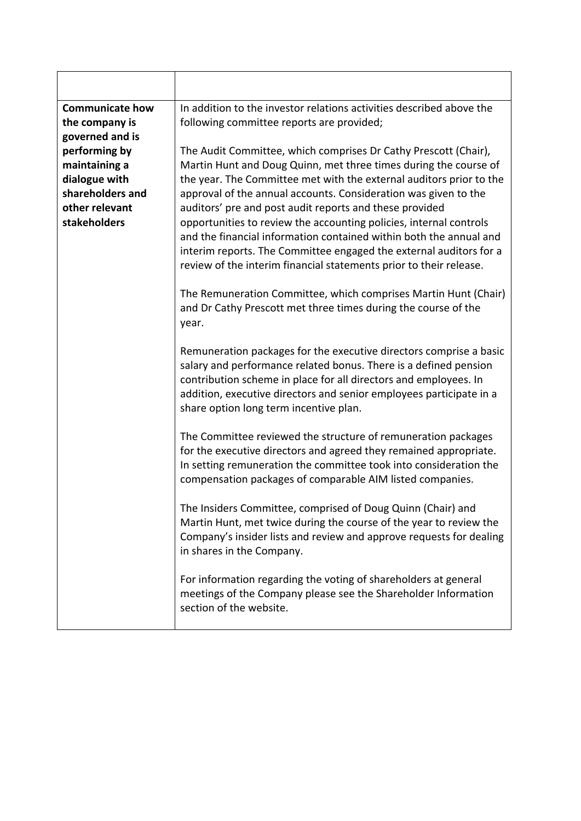| <b>Communicate how</b><br>the company is<br>governed and is                                           | In addition to the investor relations activities described above the<br>following committee reports are provided;                                                                                                                                                                                                                                                                                                                                                                                                                                                                                                                |  |  |  |  |
|-------------------------------------------------------------------------------------------------------|----------------------------------------------------------------------------------------------------------------------------------------------------------------------------------------------------------------------------------------------------------------------------------------------------------------------------------------------------------------------------------------------------------------------------------------------------------------------------------------------------------------------------------------------------------------------------------------------------------------------------------|--|--|--|--|
| performing by<br>maintaining a<br>dialogue with<br>shareholders and<br>other relevant<br>stakeholders | The Audit Committee, which comprises Dr Cathy Prescott (Chair),<br>Martin Hunt and Doug Quinn, met three times during the course of<br>the year. The Committee met with the external auditors prior to the<br>approval of the annual accounts. Consideration was given to the<br>auditors' pre and post audit reports and these provided<br>opportunities to review the accounting policies, internal controls<br>and the financial information contained within both the annual and<br>interim reports. The Committee engaged the external auditors for a<br>review of the interim financial statements prior to their release. |  |  |  |  |
|                                                                                                       | The Remuneration Committee, which comprises Martin Hunt (Chair)<br>and Dr Cathy Prescott met three times during the course of the<br>year.                                                                                                                                                                                                                                                                                                                                                                                                                                                                                       |  |  |  |  |
|                                                                                                       | Remuneration packages for the executive directors comprise a basic<br>salary and performance related bonus. There is a defined pension<br>contribution scheme in place for all directors and employees. In<br>addition, executive directors and senior employees participate in a<br>share option long term incentive plan.                                                                                                                                                                                                                                                                                                      |  |  |  |  |
|                                                                                                       | The Committee reviewed the structure of remuneration packages<br>for the executive directors and agreed they remained appropriate.<br>In setting remuneration the committee took into consideration the<br>compensation packages of comparable AIM listed companies.                                                                                                                                                                                                                                                                                                                                                             |  |  |  |  |
|                                                                                                       | The Insiders Committee, comprised of Doug Quinn (Chair) and<br>Martin Hunt, met twice during the course of the year to review the<br>Company's insider lists and review and approve requests for dealing<br>in shares in the Company.                                                                                                                                                                                                                                                                                                                                                                                            |  |  |  |  |
|                                                                                                       | For information regarding the voting of shareholders at general<br>meetings of the Company please see the Shareholder Information<br>section of the website.                                                                                                                                                                                                                                                                                                                                                                                                                                                                     |  |  |  |  |